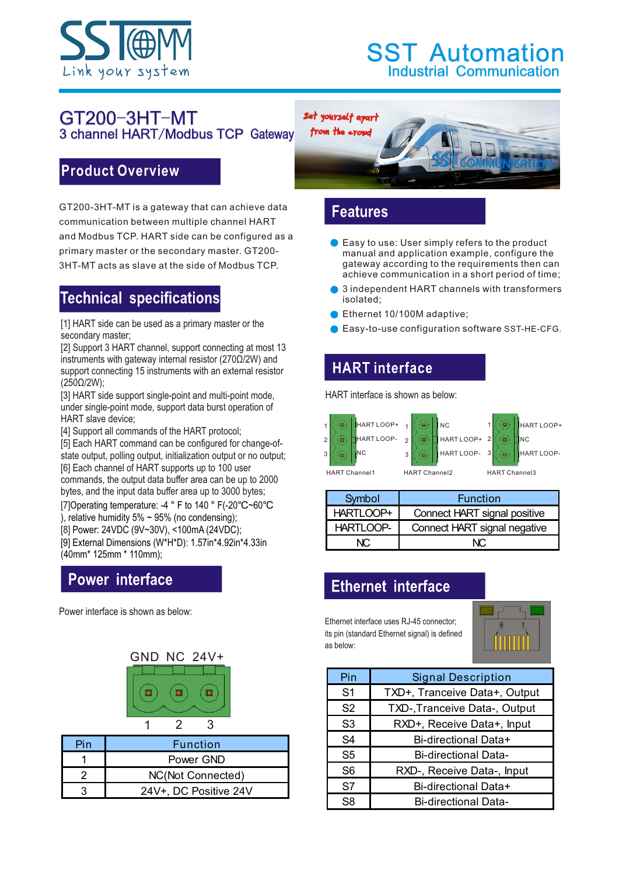

## Industrial Communication **SST Automation**

#### GT200-3HT-MT 3 channel HART/Modbus TCP Gateway

Set yourself apart



#### **Product Overview**

GT200-3HT-MT is a gateway that can achieve data communication between multiple channel HART and Modbus TCP. HART side can be configured as a primary master or the secondary master. GT200- 3HT-MT acts as slave at the side of Modbus TCP.

# **Technical specifications**

[1] HART side can be used as a primary master or the secondary master;

[2] Support 3 HART channel, support connecting at most 13 instruments with gateway internal resistor (270Ω/2W) and support connecting 15 instruments with an external resistor (250Ω/2W);

[3] HART side support single-point and multi-point mode, under single-point mode, support data burst operation of HART slave device;

[4] Support all commands of the HART protocol;

[5] Each HART command can be configured for change-ofstate output, polling output, initialization output or no output; [6] Each channel of HART supports up to 100 user commands, the output data buffer area can be up to 2000 bytes, and the input data buffer area up to 3000 bytes;

[7] Operating temperature: -4 ° F to 140 ° F(-20℃~60℃

), relative humidity 5%  $\sim$  95% (no condensing);

[8] Power: 24VDC (9V~30V), <100mA (24VDC);

[9] External Dimensions (W\*H\*D): 1.57in\*4.92in\*4.33in (40mm\* 125mm \* 110mm);

# **Power interface**

Power interface is shown as below:



| Pin | <b>Function</b>       |
|-----|-----------------------|
|     | Power GND             |
|     | NC(Not Connected)     |
|     | 24V+, DC Positive 24V |

#### **Features**

- Easy to use: User simply refers to the product manual and application example, configure the gateway according to the requirements then can achieve communication in a short period of time;
- 3 independent HART channels with transformers isolated;
- Ethernet 10/100M adaptive;
- **Easy-to-use configuration software SST-HE-CFG.**

## **HART** interface

HART interface is shown as below:



| Symbol    | <b>Function</b>              |
|-----------|------------------------------|
| HARTLOOP+ | Connect HART signal positive |
| HARTLOOP- | Connect HART signal negative |
|           |                              |

### **Ethernet interface**

Ethernet interface uses RJ-45 connector; its pin (standard Ethernet signal) is defined as below:



| Pin            | <b>Signal Description</b>     |  |  |
|----------------|-------------------------------|--|--|
| S <sub>1</sub> | TXD+, Tranceive Data+, Output |  |  |
| S <sub>2</sub> | TXD-, Tranceive Data-, Output |  |  |
| S <sub>3</sub> | RXD+, Receive Data+, Input    |  |  |
| S4             | Bi-directional Data+          |  |  |
| S5             | <b>Bi-directional Data-</b>   |  |  |
| S <sub>6</sub> | RXD-, Receive Data-, Input    |  |  |
| S7             | Bi-directional Data+          |  |  |
| S8.            | <b>Bi-directional Data-</b>   |  |  |